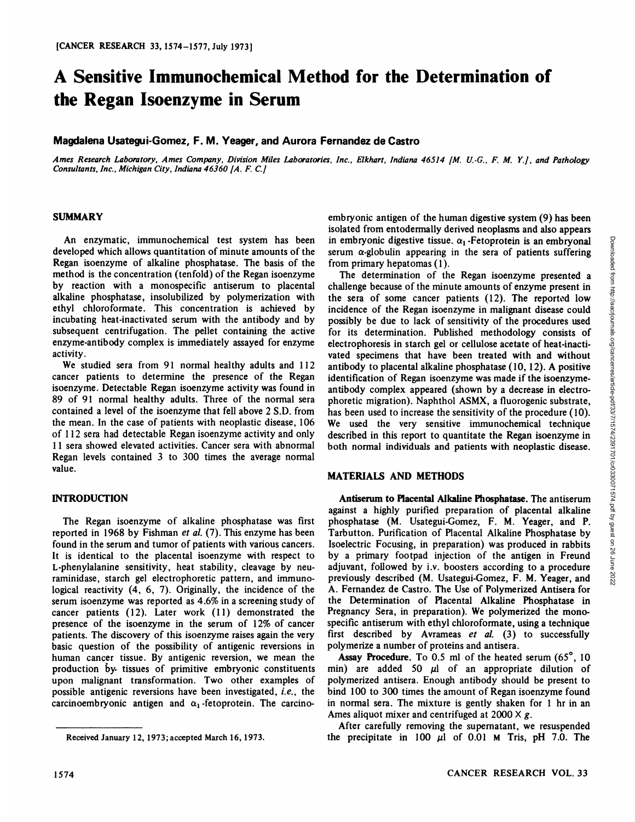# **A Sensitive Immunochemical Method for the Determination of the Regan Isoenzyme in Serum**

## **Magdalena Usategui-Gomez, F. M. Yeager, and Aurora Fernandez de Castro**

Ames Research Laboratory, Ames Company, Division Miles Laboratories, Inc., Elkhart, Indiana 46514 [M. U.-G., F. M. Y.], and Pathology *Consultants, Inc., Michigan City, Indiana 46360 [A. F. C.J*

#### **SUMMARY**

An enzymatic, immunochemical test system has been developed which allows quantitation of minute amounts of the Regan isoenzyme of alkaline phosphatase. The basis of the method is the concentration (tenfold) of the Regan isoenzyme by reaction with a monospecific antiserum to placental alkaline phosphatase, insolubilized by polymerization with ethyl chloroformate. This concentration is achieved by incubating heat-inactivated serum with the antibody and by subsequent centrifugation. The pellet containing the active enzyme-antibody complex is immediately assayed for enzyme activity.

We studied sera from 91 normal healthy adults and 112 cancer patients to determine the presence of the Regan isoenzyme. Detectable Regan isoenzyme activity was found in 89 of 91 normal healthy adults. Three of the normal sera contained a level of the isoenzyme that fell above 2 S.D. from the mean. In the case of patients with neoplastic disease, 106 of 112 sera had detectable Regan isoenzyme activity and only 11 sera showed elevated activities. Cancer sera with abnormal Regan levels contained 3 to 300 times the average normal value.

## **INTRODUCTION**

The Regan isoenzyme of alkaline phosphatase was first reported in 1968 by Fishman et al. (7). This enzyme has been found in the serum and tumor of patients with various cancers. It is identical to the placental isoenzyme with respect to L-phenylalanine sensitivity, heat stability, cleavage by neuraminidase, starch gel electrophoretic pattern, and immunological reactivity (4, 6, 7). Originally, the incidence of the serum isoenzyme was reported as 4.6% in a screening study of cancer patients (12). Later work (11) demonstrated the presence of the isoenzyme in the serum of 12% of cancer patients. The discovery of this isoenzyme raises again the very basic question of the possibility of antigenic reversions in human cancer tissue. By antigenic reversion, we mean the **Assay Procedure**. To 0.5 ml of the heated serum  $(65^\circ, 10^\circ)$ production by- tissues of primitive embryonic constituents upon malignant transformation. Two other examples of possible antigenic reversions have been investigated, i.e., the carcinoembryonic antigen and  $\alpha_1$ -fetoprotein. The carcino-

embryonic antigen of the human digestive system (9) has been isolated from entodermally derived neoplasms and also appears in embryonic digestive tissue.  $\alpha_1$ -Fetoprotein is an embryonal from primary hepatomas (1).

in embryonic digestive tissue.  $\alpha_1$ -Fetoprotein is an embryonal<br>serum or globulin appearing in the sera of patients suffering<br>from primary hepatomas (1).<br>The determination of the Regan isoenzyme presented a<br>challenge be The determination of the Regan isoenzyme presented a challenge because of the minute amounts of enzyme present in the sera of some cancer patients (12). The reported low incidence of the Regan isoenzyme in malignant disease could possibly be due to lack of sensitivity of the procedures used for its determination. Published methodology consists of electrophoresis in starch gel or cellulose acetate of heat-inacti vated specimens that have been treated with and without antibody to placental alkaline phosphatase (10, 12). A positive identification of Regan isoenzyme was made if the isoenzymeantibody complex appeared (shown by a decrease in electro phoretic migration). Naphthol ASMX, a fluorogenic substrate, has been used to increase the sensitivity of the procedure (10). We used the very sensitive immunochemical technique described in this report to quantitate the Regan isoenzyme in both normal individuals and patients with neoplastic disease.

#### **MATERIALS AND METHODS**

Antiserum to Placental Alkaline Phosphatase. The antiserum against a highly purified preparation of placental alkaline phosphatase (M. Usategui-Gomez, F. M. Yeager, and P. Tarbutton. Purification of Placental Alkaline Phosphatase by Isoelectric Focusing, in preparation) was produced in rabbits by a primary footpad injection of the antigen in Freund adjuvant, followed by i.v. boosters according to a procedure  $\frac{3}{8}$  previously described (M. Usategui-Gomez, F. M. Yeager, and previously described (M. Usategui-Gomez, F. M. Yeager, and A. Fernandez de Castro. The Use of Polymerized Antisera for the Determination of Placental Alkaline Phosphatase in Pregnancy Sera, in preparation). We polymerized the mono specific antiserum with ethyl chloroformate, using a technique first described by Avrameas et al. (3) to successfully polymerize a number of proteins and antisera.

min) are added 50  $\mu$ l of an appropriate dilution of polymerized antisera. Enough antibody should be present to bind 100 to 300 times the amount of Regan isoenzyme found in normal sera. The mixture is gently shaken for 1 hr in an Ames aliquot mixer and centrifuged at  $2000 \times g$ .

After carefully removing the supernatant, we resuspended the precipitate in 100  $\mu$ 1 of 0.01 M Tris, pH 7.0. The

Received January 12,1973;accepted March 16, 1973.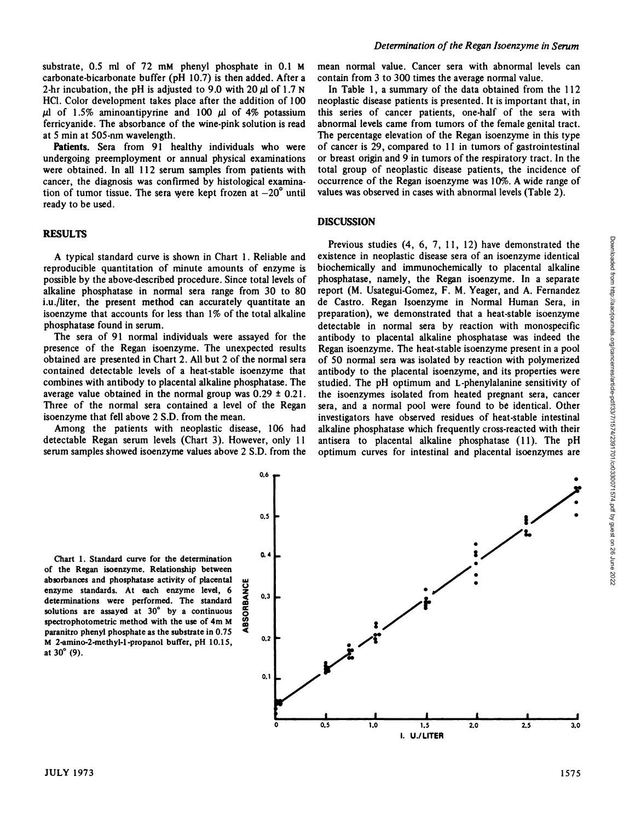substrate, 0.5 ml of 72 mM phenyl phosphate in 0.1 M carbonate-bicarbonate buffer (pH 10.7) is then added. After a 2-hr incubation, the pH is adjusted to 9.0 with 20  $\mu$ l of 1.7 N HC1. Color development takes place after the addition of 100  $\mu$  *of* 1.5% *aminoantipyrine* and 100  $\mu$  *of* 4% potassium ferricyanide. The absorbance of the wine-pink solution is read at 5 min at 505-nm wavelength.

Patients. Sera from 91 healthy individuals who were undergoing preemployment or annual physical examinations were obtained. In all 112 serum samples from patients with cancer, the diagnosis was confirmed by histological examination of tumor tissue. The sera were kept frozen at  $-20^\circ$  until ready to be used.

### **RESULTS**

A typical standard curve is shown in Chart 1. Reliable and reproducible quantitation of minute amounts of enzyme is possible by the above-described procedure. Since total levels of alkaline phosphatase in normal sera range from 30 to 80 i.u./liter, the present method can accurately quantitate an isoenzyme that accounts for less than 1% of the total alkaline phosphatase found in serum.

The sera of 91 normal individuals were assayed for the presence of the Regan isoenzyme. The unexpected results obtained are presented in Chart 2. All but 2 of the normal sera contained detectable levels of a heat-stable isoenzyme that combines with antibody to placental alkaline phosphatase. The average value obtained in the normal group was  $0.29 \pm 0.21$ . Three of the normal sera contained a level of the Regan isoenzyme that fell above 2 S.D. from the mean.

Among the patients with neoplastic disease, 106 had detectable Regan serum levels (Chart 3). However, only 11 serum samples showed isoenzyme values above 2 S.D. from the mean normal value. Cancer sera with abnormal levels can contain from 3 to300 times the average normal value.

In Table 1, a summary of the data obtained from the 112 neoplastic disease patients is presented. It is important that, in this series of cancer patients, one-half of the sera with abnormal levels came from tumors of the female genital tract. The percentage elevation of the Regan isoenzyme in this type of cancer is 29, compared to 11 in tumors of gastrointestinal or breast origin and 9 in tumors of the respiratory tract. In the total group of neoplastic disease patients, the incidence of occurrence of the Regan isoenzyme was 10%. A wide range of values was observed in cases with abnormal levels (Table 2).

#### **DISCUSSION**

**Previous studies (4, 6, 7, 11, 12) have demonstrated the istence in neoplastic disease sera of an isoenzyme identical alternate cochemically and immunochemically to placental alteration complex constrained in constrained** existence in neoplastic disease sera of an isoenzyme identical biochemically and immunochemically to placental alkaline phosphatase, namely, the Regan isoenzyme. In a separate report (M. Usategui-Gomez, F. M. Yeager, and A. Fernandez de Castro. Regan Isoenzyme in Normal Human Sera, in preparation), we demonstrated that a heat-stable isoenzyme detectable in normal sera by reaction with monospecific antibody to placental alkaline phosphatase was indeed the Regan isoenzyme. The heat-stable isoenzyme present in a pool of 50 normal sera was isolated by reaction with polymerized antibody to the placental isoenzyme, and its properties were studied. The pH optimum and L-phenylalanine sensitivity of the isoenzymes isolated from heated pregnant sera, cancer sera, and a normal pool were found to be identical. Other investigators have observed residues of heat-stable intestinal alkaline phosphatase which frequently cross-reacted with their antisera to placental alkaline phosphatase (11). The pH optimum curves for intestinal and placental isoenzymes are

Chart 1. Standard curve for the determination of the Regan isoenzyme. Relationship between absorbances and phosphatase activity of placental enzyme standards. At each enzyme level, 6 determinations were performed. The standard solutions are assayed at 30° by <sup>a</sup> continuous spectrophotometric method with the use of 4m M paranitro phenyl phosphate as the substrate in 0.75 M 2-amino-2-methyl-l-propanol buffer, pH 10.15, at 30°(9).

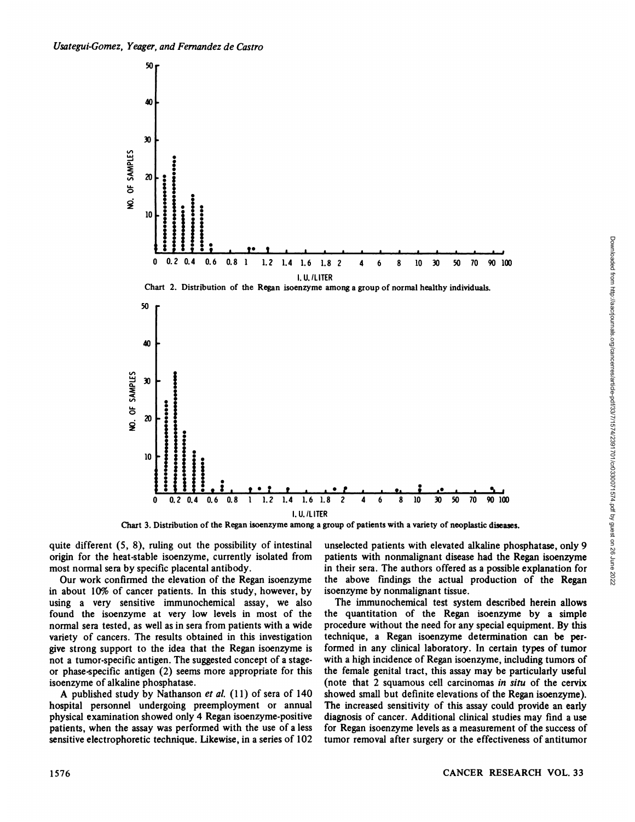



Chart 3. Distribution of the Regan isoenzyme among a group of patients with a variety of neoplastic diseases.

quite different (5, 8), ruling out the possibility of intestinal origin for the heat-stable isoenzyme, currently isolated from most normal sera by specific placental antibody.

Our work confirmed the elevation of the Regan isoenzyme in about 10% of cancer patients. In this study, however, by using a very sensitive immunochemical assay, we also found the isoenzyme at very low levels in most of the normal sera tested, as well as in sera from patients with a wide variety of cancers. The results obtained in this investigation give strong support to the idea that the Regan isoenzyme is not a tumor-specific antigen. The suggested concept of a stage or phase-specific antigen (2) seems more appropriate for this isoenzyme of alkaline phosphatase.

A published study by Nathanson *et al.*  $(11)$  of sera of 140 hospital personnel undergoing preemployment or annual physical examination showed only 4 Regan isoenzyme-positive patients, when the assay was performed with the use of a less sensitive electrophoretic technique. Likewise, in a series of 102 patients with nonmalignant disease had the Regan isoenzyme in their sera. The authors offered as a possible explanation for<br>the above findings the actual production of the Regan the above findings the actual production of the Regan isoenzyme by nonmalignant tissue.

The immunochemical test system described herein allows the quantitation of the Regan isoenzyme by a simple procedure without the need for any special equipment. By this technique, a Regan isoenzyme determination can be per formed in any clinical laboratory. In certain types of tumor with a high incidence of Regan isoenzyme, including tumors of the female genital tract, this assay may be particularly useful (note that 2 squamous cell carcinomas in situ of the cervix showed small but definite elevations of the Regan isoenzyme). The increased sensitivity of this assay could provide an early diagnosis of cancer. Additional clinical studies may find a use for Regan isoenzyme levels as a measurement of the success of tumor removal after surgery or the effectiveness of antitumor